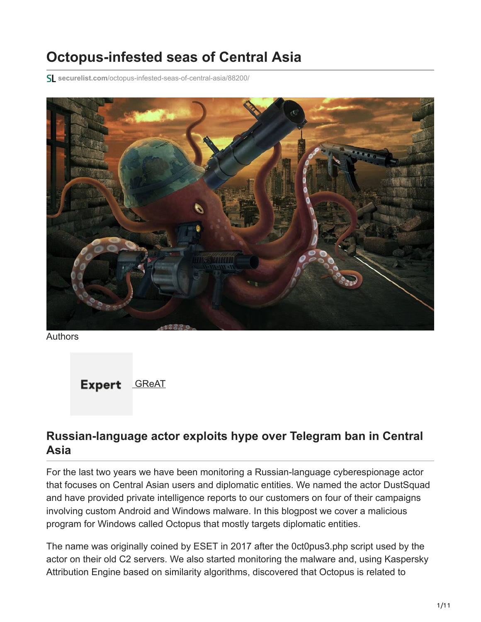# **Octopus-infested seas of Central Asia**

**securelist.com**[/octopus-infested-seas-of-central-asia/88200/](https://securelist.com/octopus-infested-seas-of-central-asia/88200/)



Authors



### **Russian-language actor exploits hype over Telegram ban in Central Asia**

For the last two years we have been monitoring a Russian-language cyberespionage actor that focuses on Central Asian users and diplomatic entities. We named the actor DustSquad and have provided private intelligence reports to our customers on four of their campaigns involving custom Android and Windows malware. In this blogpost we cover a malicious program for Windows called Octopus that mostly targets diplomatic entities.

The name was originally coined by ESET in 2017 after the 0ct0pus3.php script used by the actor on their old C2 servers. We also started monitoring the malware and, using Kaspersky Attribution Engine based on similarity algorithms, discovered that Octopus is related to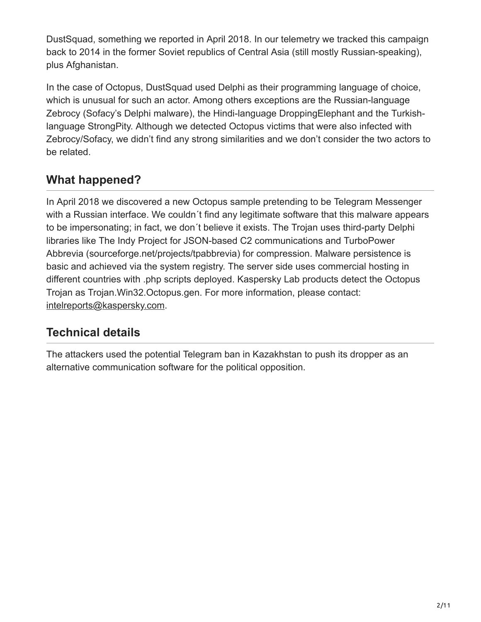DustSquad, something we reported in April 2018. In our telemetry we tracked this campaign back to 2014 in the former Soviet republics of Central Asia (still mostly Russian-speaking), plus Afghanistan.

In the case of Octopus, DustSquad used Delphi as their programming language of choice, which is unusual for such an actor. Among others exceptions are the Russian-language Zebrocy (Sofacy's Delphi malware), the Hindi-language DroppingElephant and the Turkishlanguage StrongPity. Although we detected Octopus victims that were also infected with Zebrocy/Sofacy, we didn't find any strong similarities and we don't consider the two actors to be related.

## **What happened?**

In April 2018 we discovered a new Octopus sample pretending to be Telegram Messenger with a Russian interface. We couldn't find any legitimate software that this malware appears to be impersonating; in fact, we don´t believe it exists. The Trojan uses third-party Delphi libraries like The Indy Project for JSON-based C2 communications and TurboPower Abbrevia (sourceforge.net/projects/tpabbrevia) for compression. Malware persistence is basic and achieved via the system registry. The server side uses commercial hosting in different countries with .php scripts deployed. Kaspersky Lab products detect the Octopus Trojan as Trojan.Win32.Octopus.gen. For more information, please contact: [intelreports@kaspersky.com.](http://10.10.0.46/mailto:intelreports@kaspersky.com)

# **Technical details**

The attackers used the potential Telegram ban in Kazakhstan to push its dropper as an alternative communication software for the political opposition.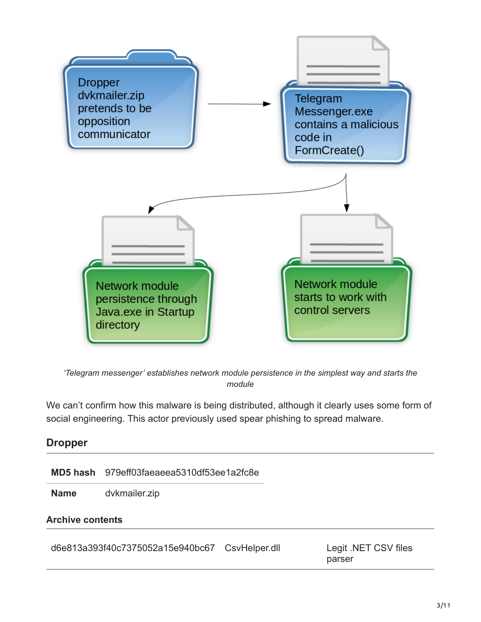

*'Telegram messenger' establishes network module persistence in the simplest way and starts the module*

We can't confirm how this malware is being distributed, although it clearly uses some form of social engineering. This actor previously used spear phishing to spread malware.

| <b>Dropper</b>          |                                           |               |                                |  |  |
|-------------------------|-------------------------------------------|---------------|--------------------------------|--|--|
|                         | MD5 hash 979eff03faeaeea5310df53ee1a2fc8e |               |                                |  |  |
| <b>Name</b>             | dvkmailer.zip                             |               |                                |  |  |
| <b>Archive contents</b> |                                           |               |                                |  |  |
|                         | d6e813a393f40c7375052a15e940bc67          | CsvHelper.dll | Legit .NET CSV files<br>parser |  |  |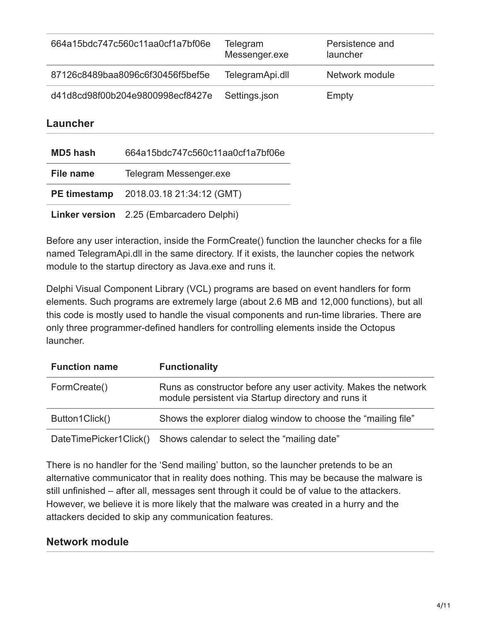| 664a15bdc747c560c11aa0cf1a7bf06e | Telegram<br>Messenger.exe | Persistence and<br>launcher |
|----------------------------------|---------------------------|-----------------------------|
| 87126c8489baa8096c6f30456f5bef5e | TelegramApi.dll           | Network module              |
| d41d8cd98f00b204e9800998ecf8427e | Settings.json             | Empty                       |

#### **Launcher**

| <b>MD5 hash</b> | 664a15bdc747c560c11aa0cf1a7bf06e              |
|-----------------|-----------------------------------------------|
| File name       | Telegram Messenger.exe                        |
|                 | <b>PE timestamp</b> 2018.03.18 21:34:12 (GMT) |
|                 | Linker version 2.25 (Embarcadero Delphi)      |

Before any user interaction, inside the FormCreate() function the launcher checks for a file named TelegramApi.dll in the same directory. If it exists, the launcher copies the network module to the startup directory as Java.exe and runs it.

Delphi Visual Component Library (VCL) programs are based on event handlers for form elements. Such programs are extremely large (about 2.6 MB and 12,000 functions), but all this code is mostly used to handle the visual components and run-time libraries. There are only three programmer-defined handlers for controlling elements inside the Octopus launcher.

| <b>Function name</b>   | <b>Functionality</b>                                                                                                   |
|------------------------|------------------------------------------------------------------------------------------------------------------------|
| FormCreate()           | Runs as constructor before any user activity. Makes the network<br>module persistent via Startup directory and runs it |
| Button1Click()         | Shows the explorer dialog window to choose the "mailing file"                                                          |
| DateTimePicker1Click() | Shows calendar to select the "mailing date"                                                                            |

There is no handler for the 'Send mailing' button, so the launcher pretends to be an alternative communicator that in reality does nothing. This may be because the malware is still unfinished – after all, messages sent through it could be of value to the attackers. However, we believe it is more likely that the malware was created in a hurry and the attackers decided to skip any communication features.

### **Network module**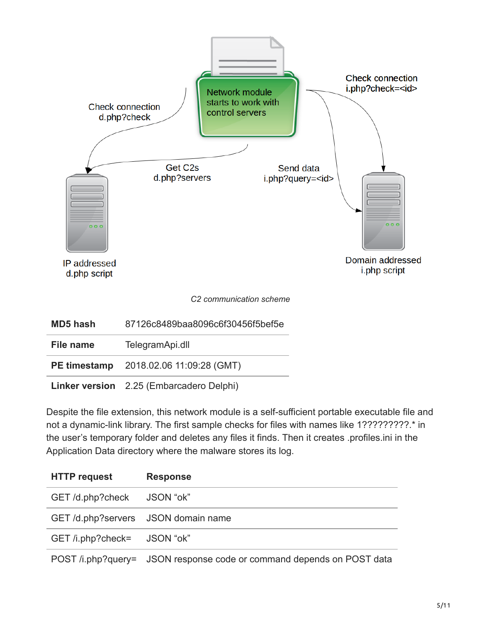

**Linker version** 2.25 (Embarcadero Delphi)

Despite the file extension, this network module is a self-sufficient portable executable file and not a dynamic-link library. The first sample checks for files with names like 1?????????.\* in the user's temporary folder and deletes any files it finds. Then it creates .profiles.ini in the Application Data directory where the malware stores its log.

| <b>HTTP request</b>                | <b>Response</b>                                                                                                                                         |
|------------------------------------|---------------------------------------------------------------------------------------------------------------------------------------------------------|
| GET/d.php?check JSON "ok"          |                                                                                                                                                         |
| GET/d.php?servers JSON domain name |                                                                                                                                                         |
| GET /i.php?check= JSON "ok"        |                                                                                                                                                         |
|                                    | $\overline{D}\cap\overline{D}$ is a function of $\overline{D}$ . In the second contract of the second decoded on $\overline{D}\cap\overline{D}$ defined |

POST /i.php?query= JSON response code or command depends on POST data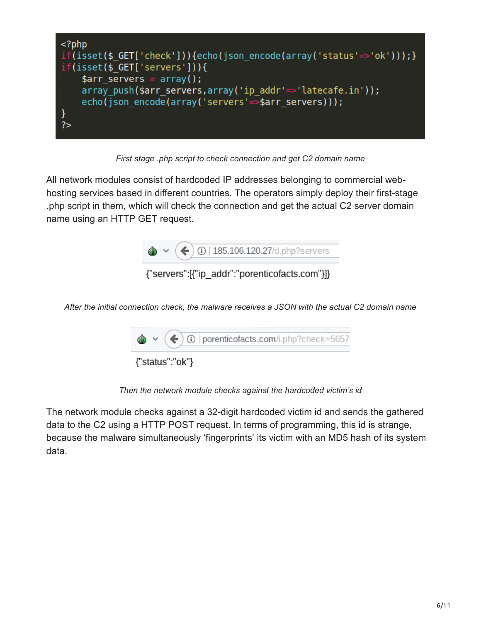

*First stage .php script to check connection and get C2 domain name*

All network modules consist of hardcoded IP addresses belonging to commercial webhosting services based in different countries. The operators simply deploy their first-stage .php script in them, which will check the connection and get the actual C2 server domain name using an HTTP GET request.



{"servers":[{"ip addr":"porenticofacts.com"}]}

*After the initial connection check, the malware receives a JSON with the actual C2 domain name*



*Then the network module checks against the hardcoded victim's id*

The network module checks against a 32-digit hardcoded victim id and sends the gathered data to the C2 using a HTTP POST request. In terms of programming, this id is strange, because the malware simultaneously 'fingerprints' its victim with an MD5 hash of its system data.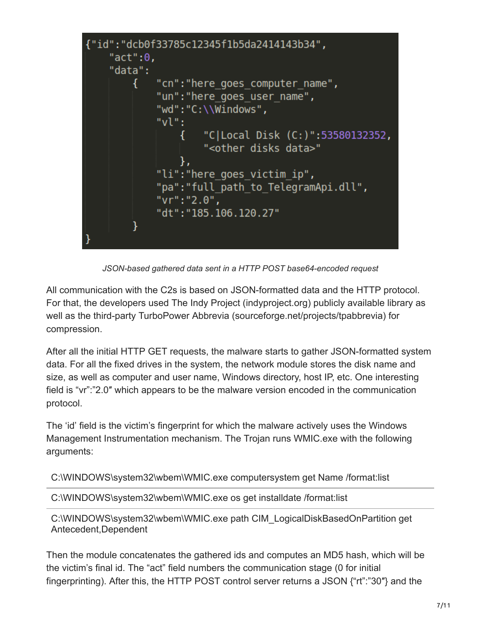

*JSON-based gathered data sent in a HTTP POST base64-encoded request*

All communication with the C2s is based on JSON-formatted data and the HTTP protocol. For that, the developers used The Indy Project (indyproject.org) publicly available library as well as the third-party TurboPower Abbrevia (sourceforge.net/projects/tpabbrevia) for compression.

After all the initial HTTP GET requests, the malware starts to gather JSON-formatted system data. For all the fixed drives in the system, the network module stores the disk name and size, as well as computer and user name, Windows directory, host IP, etc. One interesting field is "vr":"2.0″ which appears to be the malware version encoded in the communication protocol.

The 'id' field is the victim's fingerprint for which the malware actively uses the Windows Management Instrumentation mechanism. The Trojan runs WMIC.exe with the following arguments:

C:\WINDOWS\system32\wbem\WMIC.exe computersystem get Name /format:list

C:\WINDOWS\system32\wbem\WMIC.exe os get installdate /format:list

C:\WINDOWS\system32\wbem\WMIC.exe path CIM\_LogicalDiskBasedOnPartition get Antecedent,Dependent

Then the module concatenates the gathered ids and computes an MD5 hash, which will be the victim's final id. The "act" field numbers the communication stage (0 for initial fingerprinting). After this, the HTTP POST control server returns a JSON {"rt":"30″} and the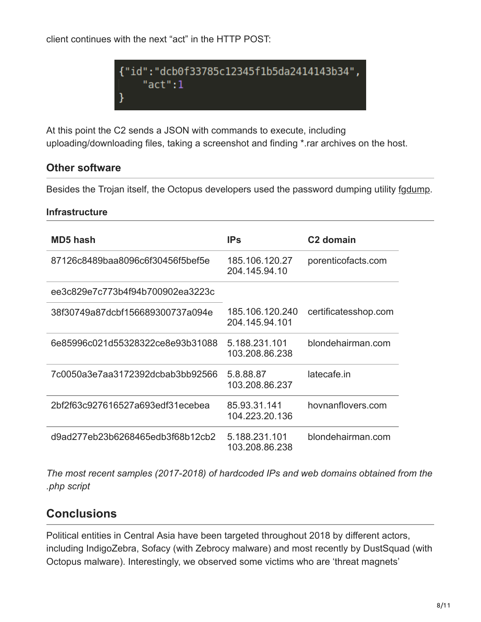client continues with the next "act" in the HTTP POST:



At this point the C2 sends a JSON with commands to execute, including uploading/downloading files, taking a screenshot and finding \*.rar archives on the host.

### **Other software**

Besides the Trojan itself, the Octopus developers used the password dumping utility [fgdump.](http://foofus.net/goons/fizzgig/fgdump/)

#### **Infrastructure**

| <b>MD5 hash</b>                  | <b>IPs</b>                        | C <sub>2</sub> domain |
|----------------------------------|-----------------------------------|-----------------------|
| 87126c8489baa8096c6f30456f5bef5e | 185.106.120.27<br>204.145.94.10   | porenticofacts.com    |
| ee3c829e7c773b4f94b700902ea3223c |                                   |                       |
| 38f30749a87dcbf156689300737a094e | 185.106.120.240<br>204.145.94.101 | certificatesshop.com  |
| 6e85996c021d55328322ce8e93b31088 | 5.188.231.101<br>103.208.86.238   | blondehairman.com     |
| 7c0050a3e7aa3172392dcbab3bb92566 | 5.8.88.87<br>103.208.86.237       | latecafe.in           |
| 2bf2f63c927616527a693edf31ecebea | 85.93.31.141<br>104.223.20.136    | hovnanflovers.com     |
| d9ad277eb23b6268465edb3f68b12cb2 | 5.188.231.101<br>103.208.86.238   | blondehairman.com     |

*The most recent samples (2017-2018) of hardcoded IPs and web domains obtained from the .php script*

### **Conclusions**

Political entities in Central Asia have been targeted throughout 2018 by different actors, including IndigoZebra, Sofacy (with Zebrocy malware) and most recently by DustSquad (with Octopus malware). Interestingly, we observed some victims who are 'threat magnets'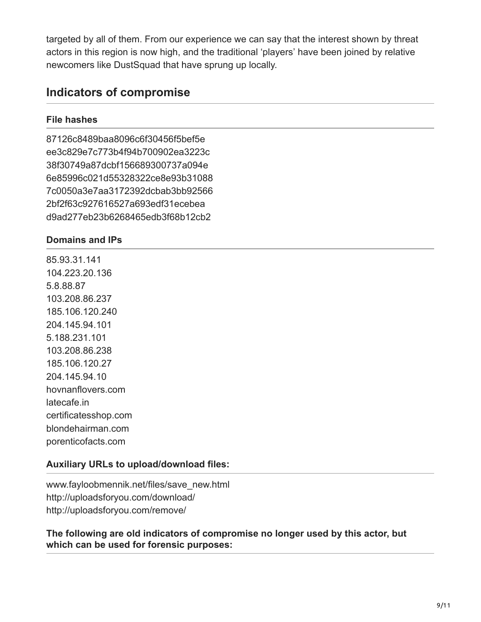targeted by all of them. From our experience we can say that the interest shown by threat actors in this region is now high, and the traditional 'players' have been joined by relative newcomers like DustSquad that have sprung up locally.

### **Indicators of compromise**

### **File hashes**

87126c8489baa8096c6f30456f5bef5e ee3c829e7c773b4f94b700902ea3223c 38f30749a87dcbf156689300737a094e 6e85996c021d55328322ce8e93b31088 7c0050a3e7aa3172392dcbab3bb92566 2bf2f63c927616527a693edf31ecebea d9ad277eb23b6268465edb3f68b12cb2

### **Domains and IPs**

85.93.31.141 104.223.20.136 5.8.88.87 103.208.86.237 185.106.120.240 204.145.94.101 5.188.231.101 103.208.86.238 185.106.120.27 204.145.94.10 hovnanflovers.com latecafe.in certificatesshop.com blondehairman.com porenticofacts.com

### **Auxiliary URLs to upload/download files:**

www.fayloobmennik.net/files/save\_new.html http://uploadsforyou.com/download/ http://uploadsforyou.com/remove/

**The following are old indicators of compromise no longer used by this actor, but which can be used for forensic purposes:**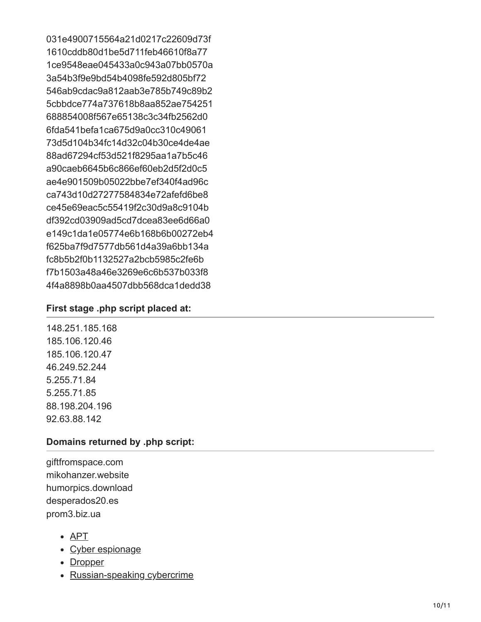031e4900715564a21d0217c22609d73f 1610cddb80d1be5d711feb46610f8a77 1ce9548eae045433a0c943a07bb0570a 3a54b3f9e9bd54b4098fe592d805bf72 546ab9cdac9a812aab3e785b749c89b2 5cbbdce774a737618b8aa852ae754251 688854008f567e65138c3c34fb2562d0 6fda541befa1ca675d9a0cc310c49061 73d5d104b34fc14d32c04b30ce4de4ae 88ad67294cf53d521f8295aa1a7b5c46 a90caeb6645b6c866ef60eb2d5f2d0c5 ae4e901509b05022bbe7ef340f4ad96c ca743d10d27277584834e72afefd6be8 ce45e69eac5c55419f2c30d9a8c9104b df392cd03909ad5cd7dcea83ee6d66a0 e149c1da1e05774e6b168b6b00272eb4 f625ba7f9d7577db561d4a39a6bb134a fc8b5b2f0b1132527a2bcb5985c2fe6b f7b1503a48a46e3269e6c6b537b033f8 4f4a8898b0aa4507dbb568dca1dedd38

### **First stage .php script placed at:**

148.251.185.168 185.106.120.46 185.106.120.47 46.249.52.244 5.255.71.84 5.255.71.85 88.198.204.196 92.63.88.142

#### **Domains returned by .php script:**

giftfromspace.com mikohanzer.website humorpics.download desperados20.es prom3.biz.ua

- [APT](https://securelist.com/tag/apt/)
- [Cyber espionage](https://securelist.com/tag/cyber-espionage/)
- [Dropper](https://securelist.com/tag/dropper/)
- [Russian-speaking cybercrime](https://securelist.com/tag/russian-speaking-cybercrime/)